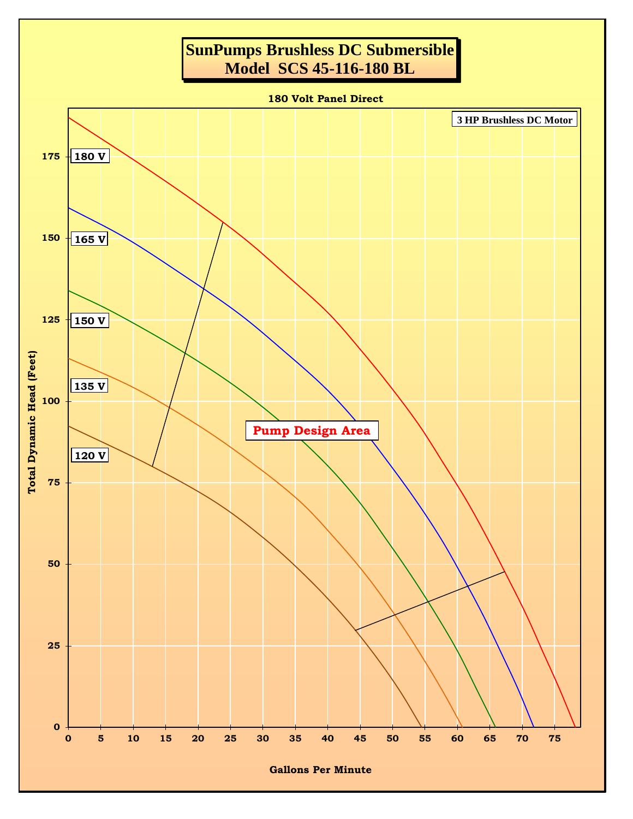